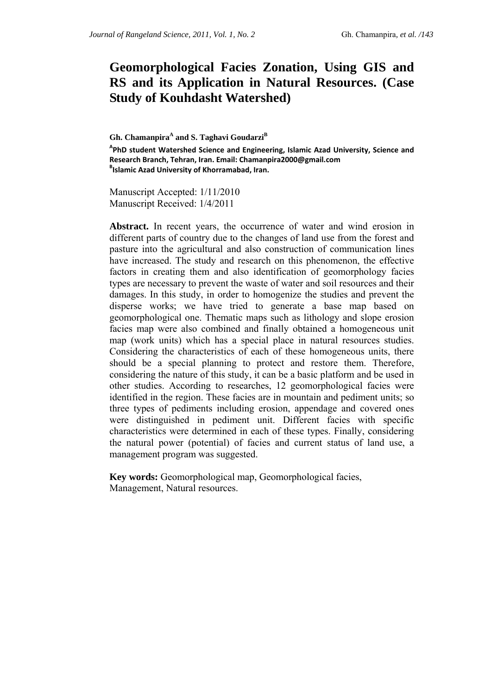# **Geomorphological Facies Zonation, Using GIS and RS and its Application in Natural Resources. (Case Study of Kouhdasht Watershed)**

Gh. Chamanpira<sup>A</sup> and S. Taghavi Goudarzi<sup>B</sup> **A PhD student Watershed Science and Engineering, Islamic Azad University, Science and Research Branch, Tehran, Iran. Email: Chamanpira2000@gmail.com <sup>B</sup> Islamic Azad University of Khorramabad, Iran.**

Manuscript Accepted: 1/11/2010 Manuscript Received: 1/4/2011

**Abstract.** In recent years, the occurrence of water and wind erosion in different parts of country due to the changes of land use from the forest and pasture into the agricultural and also construction of communication lines have increased. The study and research on this phenomenon, the effective factors in creating them and also identification of geomorphology facies types are necessary to prevent the waste of water and soil resources and their damages. In this study, in order to homogenize the studies and prevent the disperse works; we have tried to generate a base map based on geomorphological one. Thematic maps such as lithology and slope erosion facies map were also combined and finally obtained a homogeneous unit map (work units) which has a special place in natural resources studies. Considering the characteristics of each of these homogeneous units, there should be a special planning to protect and restore them. Therefore, considering the nature of this study, it can be a basic platform and be used in other studies. According to researches, 12 geomorphological facies were identified in the region. These facies are in mountain and pediment units; so three types of pediments including erosion, appendage and covered ones were distinguished in pediment unit. Different facies with specific characteristics were determined in each of these types. Finally, considering the natural power (potential) of facies and current status of land use, a management program was suggested.

**Key words:** Geomorphological map, Geomorphological facies, Management, Natural resources.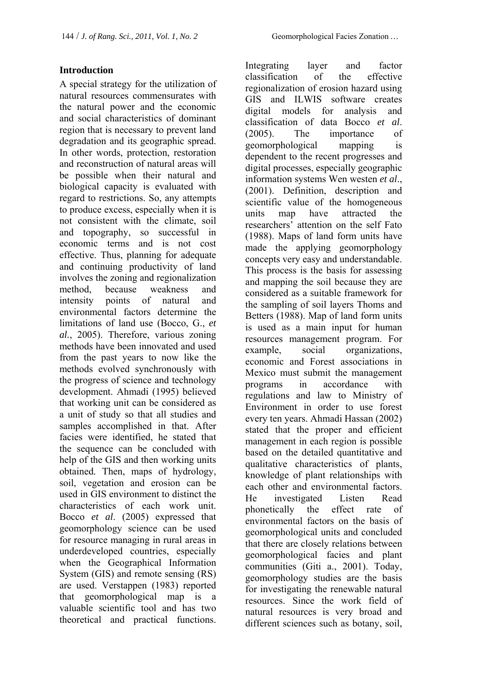### **Introduction**

A special strategy for the utilization of natural resources commensurates with the natural power and the economic and social characteristics of dominant region that is necessary to prevent land degradation and its geographic spread. In other words, protection, restoration and reconstruction of natural areas will be possible when their natural and biological capacity is evaluated with regard to restrictions. So, any attempts to produce excess, especially when it is not consistent with the climate, soil and topography, so successful in economic terms and is not cost effective. Thus, planning for adequate and continuing productivity of land involves the zoning and regionalization method, because weakness and intensity points of natural and environmental factors determine the limitations of land use (Bocco, G., *et al.*, 2005). Therefore, various zoning methods have been innovated and used from the past years to now like the methods evolved synchronously with the progress of science and technology development. Ahmadi (1995) believed that working unit can be considered as a unit of study so that all studies and samples accomplished in that. After facies were identified, he stated that the sequence can be concluded with help of the GIS and then working units obtained. Then, maps of hydrology, soil, vegetation and erosion can be used in GIS environment to distinct the characteristics of each work unit. Bocco *et al*. (2005) expressed that geomorphology science can be used for resource managing in rural areas in underdeveloped countries, especially when the Geographical Information System (GIS) and remote sensing (RS) are used. Verstappen (1983) reported that geomorphological map is a valuable scientific tool and has two theoretical and practical functions.

Integrating layer and factor classification of the effective regionalization of erosion hazard using GIS and ILWIS software creates digital models for analysis and classification of data Bocco *et al*. (2005). The importance of geomorphological mapping is dependent to the recent progresses and digital processes, especially geographic information systems Wen westen *et al*., (2001). Definition, description and scientific value of the homogeneous units map have attracted the researchers' attention on the self Fato (1988). Maps of land form units have made the applying geomorphology concepts very easy and understandable. This process is the basis for assessing and mapping the soil because they are considered as a suitable framework for the sampling of soil layers Thoms and Betters (1988). Map of land form units is used as a main input for human resources management program. For example, social organizations, economic and Forest associations in Mexico must submit the management programs in accordance with regulations and law to Ministry of Environment in order to use forest every ten years. Ahmadi Hassan (2002) stated that the proper and efficient management in each region is possible based on the detailed quantitative and qualitative characteristics of plants, knowledge of plant relationships with each other and environmental factors. He investigated Listen Read phonetically the effect rate of environmental factors on the basis of geomorphological units and concluded that there are closely relations between geomorphological facies and plant communities (Giti a., 2001). Today, geomorphology studies are the basis for investigating the renewable natural resources. Since the work field of natural resources is very broad and different sciences such as botany, soil,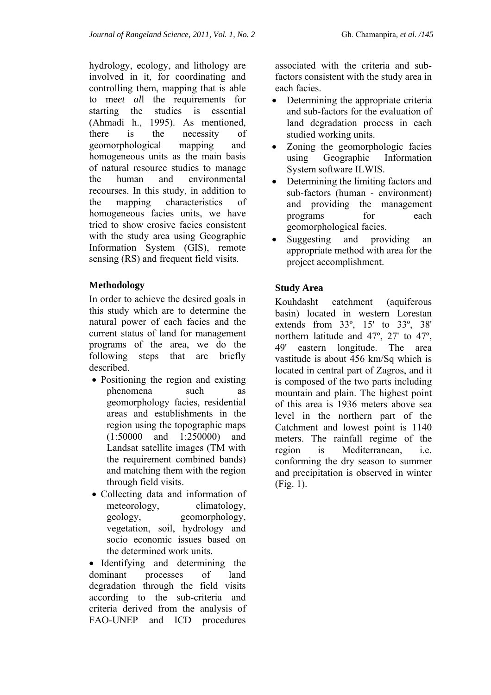hydrology, ecology, and lithology are involved in it, for coordinating and controlling them, mapping that is able to me*et al*l the requirements for starting the studies is essential (Ahmadi h., 1995). As mentioned, there is the necessity of geomorphological mapping and homogeneous units as the main basis of natural resource studies to manage the human and environmental recourses. In this study, in addition to the mapping characteristics of homogeneous facies units, we have tried to show erosive facies consistent with the study area using Geographic Information System (GIS), remote sensing (RS) and frequent field visits.

## **Methodology**

In order to achieve the desired goals in this study which are to determine the natural power of each facies and the current status of land for management programs of the area, we do the following steps that are briefly described.

- Positioning the region and existing phenomena such as geomorphology facies, residential areas and establishments in the region using the topographic maps (1:50000 and 1:250000) and Landsat satellite images (TM with the requirement combined bands) and matching them with the region through field visits.
- Collecting data and information of meteorology, climatology, geology, geomorphology, vegetation, soil, hydrology and socio economic issues based on the determined work units.

• Identifying and determining the dominant processes of land degradation through the field visits according to the sub-criteria and criteria derived from the analysis of FAO-UNEP and ICD procedures

associated with the criteria and subfactors consistent with the study area in each facies.

- Determining the appropriate criteria and sub-factors for the evaluation of land degradation process in each studied working units.
- Zoning the geomorphologic facies using Geographic Information System software ILWIS.
- Determining the limiting factors and sub-factors (human - environment) and providing the management programs for each geomorphological facies.
- Suggesting and providing an appropriate method with area for the project accomplishment.

# **Study Area**

Kouhdasht catchment (aquiferous basin) located in western Lorestan extends from 33º, 15' to 33º, 38' northern latitude and 47º, 27' to 47º, 49' eastern longitude. The area vastitude is about 456 km/Sq which is located in central part of Zagros, and it is composed of the two parts including mountain and plain. The highest point of this area is 1936 meters above sea level in the northern part of the Catchment and lowest point is 1140 meters. The rainfall regime of the region is Mediterranean i.e. conforming the dry season to summer and precipitation is observed in winter (Fig. 1).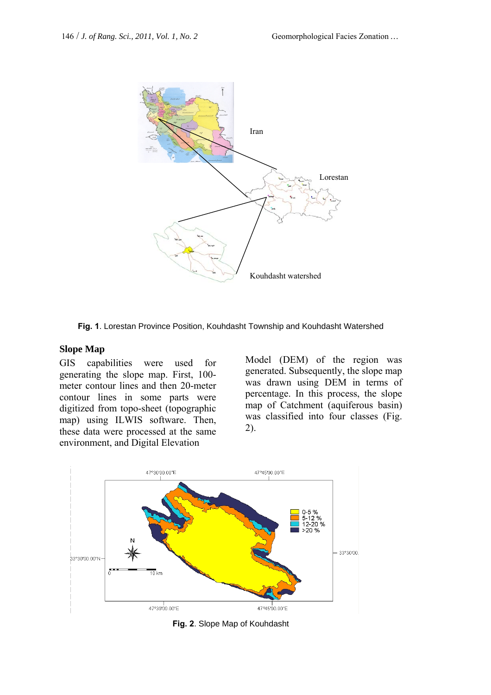

**Fig. 1**. Lorestan Province Position, Kouhdasht Township and Kouhdasht Watershed

#### **Slope Map**

GIS capabilities were used for generating the slope map. First, 100 meter contour lines and then 20-meter contour lines in some parts were digitized from topo-sheet (topographic map) using ILWIS software. Then, these data were processed at the same environment, and Digital Elevation

Model (DEM) of the region was generated. Subsequently, the slope map was drawn using DEM in terms of percentage. In this process, the slope map of Catchment (aquiferous basin) was classified into four classes (Fig. 2).



**Fig. 2**. Slope Map of Kouhdasht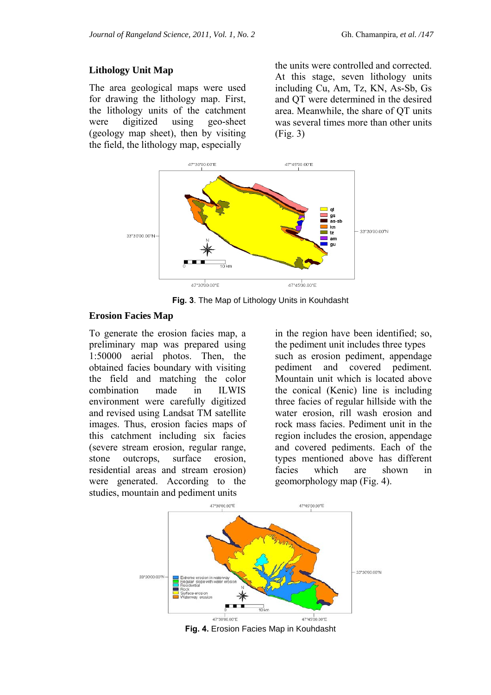#### **Lithology Unit Map**

The area geological maps were used for drawing the lithology map. First, the lithology units of the catchment were digitized using geo-sheet (geology map sheet), then by visiting the field, the lithology map, especially

the units were controlled and corrected. At this stage, seven lithology units including Cu, Am, Tz, KN, As-Sb, Gs and QT were determined in the desired area. Meanwhile, the share of QT units was several times more than other units (Fig. 3)



**Fig. 3**. The Map of Lithology Units in Kouhdasht

#### **Erosion Facies Map**

To generate the erosion facies map, a preliminary map was prepared using 1:50000 aerial photos. Then, the obtained facies boundary with visiting the field and matching the color combination made in ILWIS environment were carefully digitized and revised using Landsat TM satellite images. Thus, erosion facies maps of this catchment including six facies (severe stream erosion, regular range, stone outcrops, surface erosion, residential areas and stream erosion) were generated. According to the studies, mountain and pediment units

in the region have been identified; so, the pediment unit includes three types such as erosion pediment, appendage pediment and covered pediment*.* Mountain unit which is located above the conical (Kenic) line is including three facies of regular hillside with the water erosion, rill wash erosion and rock mass facies. Pediment unit in the region includes the erosion, appendage and covered pediments. Each of the types mentioned above has different facies which are shown in geomorphology map (Fig. 4).



**Fig. 4.** Erosion Facies Map in Kouhdasht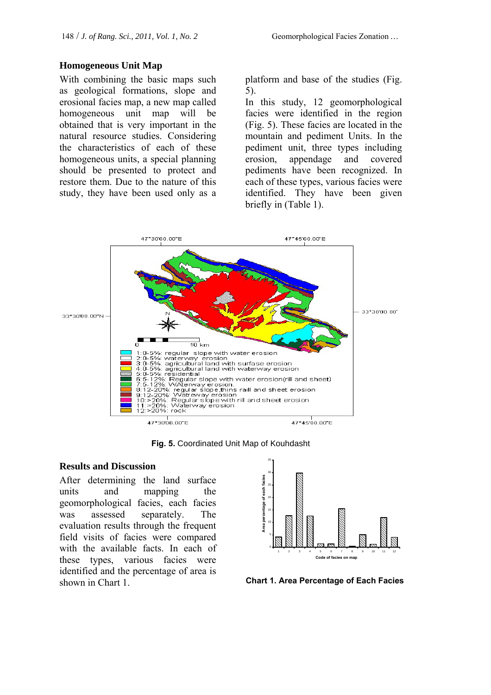#### **Homogeneous Unit Map**

With combining the basic maps such as geological formations, slope and erosional facies map, a new map called homogeneous unit map will be obtained that is very important in the natural resource studies. Considering the characteristics of each of these homogeneous units, a special planning should be presented to protect and restore them. Due to the nature of this study, they have been used only as a platform and base of the studies (Fig. 5).

In this study, 12 geomorphological facies were identified in the region (Fig. 5). These facies are located in the mountain and pediment Units. In the pediment unit, three types including erosion, appendage and covered pediments have been recognized. In each of these types, various facies were identified. They have been given briefly in (Table 1).



**Fig. 5.** Coordinated Unit Map of Kouhdasht

#### **Results and Discussion**

After determining the land surface units and mapping the geomorphological facies, each facies was assessed separately. The evaluation results through the frequent field visits of facies were compared with the available facts. In each of these types, various facies were identified and the percentage of area is shown in Chart 1.



**Chart 1. Area Percentage of Each Facies**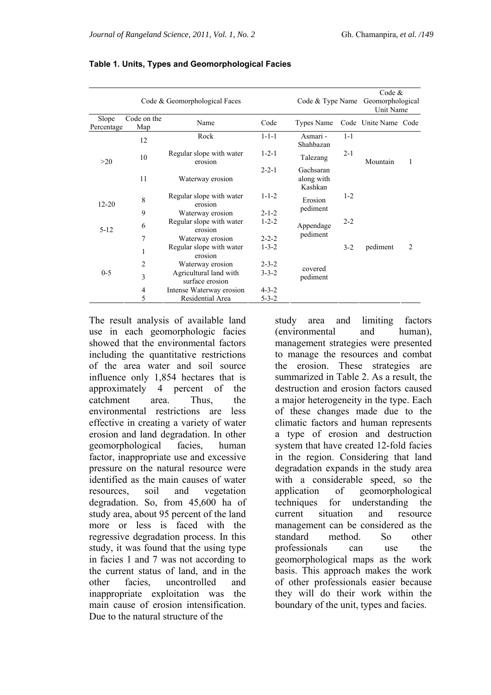|                     |                    | Code & Geomorphological Faces             |             |                                    |         |                      | Code $&$<br>Code & Type Name Geomorphological<br>Unit Name |  |  |
|---------------------|--------------------|-------------------------------------------|-------------|------------------------------------|---------|----------------------|------------------------------------------------------------|--|--|
| Slope<br>Percentage | Code on the<br>Map | Name                                      | Code        | <b>Types Name</b>                  |         | Code Unite Name Code |                                                            |  |  |
|                     | 12                 | Rock                                      | $1 - 1 - 1$ | Asmari -<br>Shahbazan              | $1 - 1$ |                      |                                                            |  |  |
| >20                 | 10                 | Regular slope with water<br>erosion       | $1 - 2 - 1$ | Talezang                           | $2 - 1$ | Mountain             | 1                                                          |  |  |
|                     | 11                 | Waterway erosion                          | $2 - 2 - 1$ | Gachsaran<br>along with<br>Kashkan |         |                      |                                                            |  |  |
| $12 - 20$           | 8                  | Regular slope with water<br>erosion       | $1 - 1 - 2$ | Erosion                            | $1 - 2$ |                      |                                                            |  |  |
|                     | 9                  | Waterway erosion                          | $2 - 1 - 2$ | pediment                           |         |                      |                                                            |  |  |
| $5 - 12$            | 6                  | Regular slope with water<br>erosion       | $1 - 2 - 2$ | Appendage                          | $2 - 2$ |                      |                                                            |  |  |
|                     | 7                  | Waterway erosion                          | $2 - 2 - 2$ | pediment                           |         |                      |                                                            |  |  |
|                     | $\mathbf{1}$       | Regular slope with water<br>erosion       | $1 - 3 - 2$ |                                    | $3-2$   | pediment             | $\overline{c}$                                             |  |  |
|                     | 2                  | Waterway erosion                          | $2 - 3 - 2$ |                                    |         |                      |                                                            |  |  |
| $0 - 5$             | 3                  | Agricultural land with<br>surface erosion | $3 - 3 - 2$ | covered<br>pediment                |         |                      |                                                            |  |  |
|                     | 4                  | Intense Waterway erosion                  | $4 - 3 - 2$ |                                    |         |                      |                                                            |  |  |
|                     | 5                  | Residential Area                          | $5 - 3 - 2$ |                                    |         |                      |                                                            |  |  |

The result analysis of available land use in each geomorphologic facies showed that the environmental factors including the quantitative restrictions of the area water and soil source influence only 1,854 hectares that is approximately 4 percent of the catchment area. Thus, the environmental restrictions are less effective in creating a variety of water erosion and land degradation. In other geomorphological facies, human factor, inappropriate use and excessive pressure on the natural resource were identified as the main causes of water resources, soil and vegetation degradation. So, from 45,600 ha of study area, about 95 percent of the land more or less is faced with the regressive degradation process. In this study, it was found that the using type in facies 1 and 7 was not according to the current status of land, and in the other facies, uncontrolled and inappropriate exploitation was the main cause of erosion intensification. Due to the natural structure of the

study area and limiting factors (environmental and human), management strategies were presented to manage the resources and combat the erosion. These strategies are summarized in Table 2. As a result, the destruction and erosion factors caused a major heterogeneity in the type. Each of these changes made due to the climatic factors and human represents a type of erosion and destruction system that have created 12-fold facies in the region. Considering that land degradation expands in the study area with a considerable speed, so the application of geomorphological techniques for understanding the current situation and resource management can be considered as the standard method. So other professionals can use the geomorphological maps as the work basis. This approach makes the work of other professionals easier because they will do their work within the boundary of the unit, types and facies.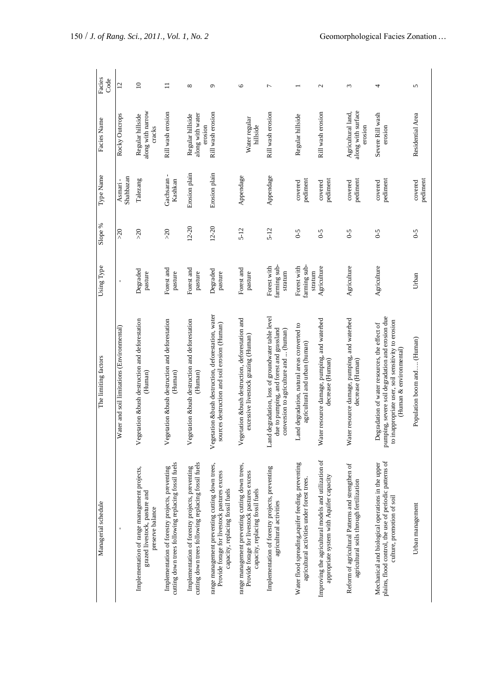| Managerial schedule                                                                                                                       | The limiting factors                                                                                                                                                               | Using Type                             | Slope %        | Type Name                              | Facies Name                                         | Facies<br>Code    |
|-------------------------------------------------------------------------------------------------------------------------------------------|------------------------------------------------------------------------------------------------------------------------------------------------------------------------------------|----------------------------------------|----------------|----------------------------------------|-----------------------------------------------------|-------------------|
| $\overline{\phantom{a}}$                                                                                                                  | Water and soil limitations (Environmental)                                                                                                                                         | ï                                      | $\geqslant 20$ | Shahbazan<br>Asmari-                   | Rocky Outcrops                                      | $\overline{c}$    |
| Implementation of range management projects,<br>grazed livestock, pasture and<br>preserve balance                                         | Vegetation &bush destruction and deforestation<br>(Human)                                                                                                                          | Degraded<br>pasture                    | $>20$          | Talezang                               | along with narrow<br>Regular hillside<br>cracks     | $\supseteq$       |
| cutting down trees following replacing fossil fuels<br>Implementation of forestry projects, preventing                                    | Vegetation &bush destruction and deforestation<br>(Human)                                                                                                                          | Forest and<br>pasture                  | $\lesssim$     | $\blacksquare$<br>Gachsaran<br>Kashkan | Rill wash erosion                                   | $\Box$            |
| cutting down trees following replacing fossil fuels<br>Implementation of forestry projects, preventing                                    | Vegetation &bush destruction and deforestation<br>(Human)                                                                                                                          | Forest and<br>pasture                  | $12 - 20$      | Erosion plain                          | along with water<br>Regular hillside<br>erosion     | $^{\circ}$        |
| range management preventing cutting down trees,<br>Provide forage for livestock pastures excess<br>capacity, replacing fossil fuels       | Vegetation &bush destruction, deforestation, water<br>sources destruction and soil erosion (Human)                                                                                 | Degraded<br>pasture                    | $12 - 20$      | Erosion plain                          | Rill wash erosion                                   | $\sigma$          |
| range management preventing cutting down trees,<br>Provide forage for livestock pastures excess<br>capacity, replacing fossil fuels       | Vegetation &bush destruction, deforestation and<br>excessive livestock grazing (Human)                                                                                             | Forest and<br>pasture                  | $5 - 12$       | Appendage                              | Water regular<br>hillside                           | $\circ$           |
| Implementation of forestry projects, preventing<br>agricultural activities                                                                | Land degradation, loss of groundwater table level<br>due to pumping, and forest and grassland<br>conversion to agriculture and  (human)                                            | farming sub-<br>Forest with<br>stratum | $5 - 12$       | Appendage                              | Rill wash erosion                                   | $\overline{ }$    |
| Water flood spreading, aquifer feeding, preventing<br>agricultural activities under forest trees.                                         | Land degradation, natural areas converted to<br>agricultural and urban (human)                                                                                                     | farming sub-<br>Forest with<br>stratum | $6 - 5$        | pediment<br>covered                    | Regular hillside                                    |                   |
| Improving the agricultural models and utilization of<br>appropriate system with Aquifer capacity                                          | Water resource damage, pumping, and waterbed<br>decrease (Human)                                                                                                                   | Agriculture                            | $6 - 5$        | pediment<br>covered                    | Rill wash erosion                                   | $\mathbf{\Omega}$ |
| Reform of agricultural Patterns and strengthen of<br>agricultural soils through fertilization                                             | Water resource damage, pumping, and waterbed<br>decrease (Human)                                                                                                                   | Agriculture                            | $6-5$          | pediment<br>covered                    | along with surface<br>Agricultural land,<br>erosion | $\epsilon$        |
| plains, flood control, the use of periodic patterns of<br>Mechanical and biological operations in the upper<br>culture, promotion of soil | pumping, severe soil degradation and erosion due<br>to inappropriate user, soil sensitivity to erosion<br>Degradation of water resources, the effect of<br>(Human & environmental) | Agriculture                            | $6 - 5$        | pediment<br>covered                    | Severe Rill wash<br>erosion                         | 4                 |
| Urban management                                                                                                                          | Population boom and (Human)                                                                                                                                                        | Urban                                  | $6-5$          | pediment<br>covered                    | Residential Area                                    | 5                 |